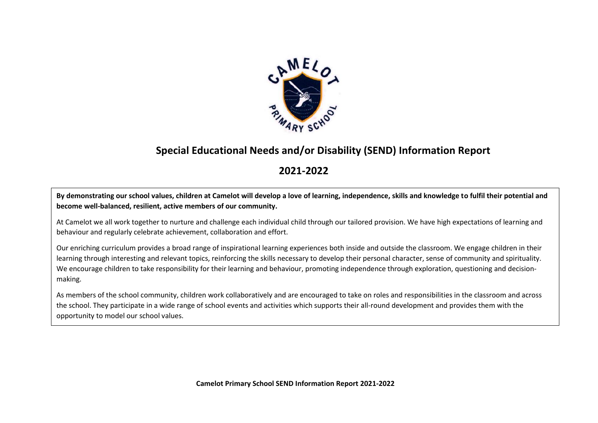

## **Special Educational Needs and/or Disability (SEND) Information Report**

### **2021-2022**

**By demonstrating our school values, children at Camelot will develop a love of learning, independence, skills and knowledge to fulfil their potential and become well-balanced, resilient, active members of our community.** 

At Camelot we all work together to nurture and challenge each individual child through our tailored provision. We have high expectations of learning and behaviour and regularly celebrate achievement, collaboration and effort.

Our enriching curriculum provides a broad range of inspirational learning experiences both inside and outside the classroom. We engage children in their learning through interesting and relevant topics, reinforcing the skills necessary to develop their personal character, sense of community and spirituality. We encourage children to take responsibility for their learning and behaviour, promoting independence through exploration, questioning and decisionmaking.

As members of the school community, children work collaboratively and are encouraged to take on roles and responsibilities in the classroom and across the school. They participate in a wide range of school events and activities which supports their all-round development and provides them with the opportunity to model our school values.

**Camelot Primary School SEND Information Report 2021-2022**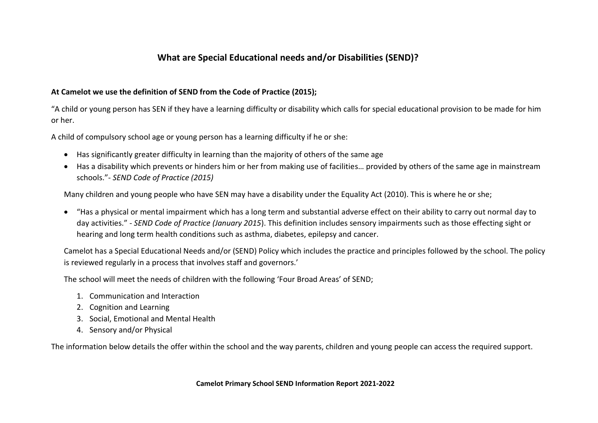#### **What are Special Educational needs and/or Disabilities (SEND)?**

#### **At Camelot we use the definition of SEND from the Code of Practice (2015);**

"A child or young person has SEN if they have a learning difficulty or disability which calls for special educational provision to be made for him or her.

A child of compulsory school age or young person has a learning difficulty if he or she:

- Has significantly greater difficulty in learning than the majority of others of the same age
- Has a disability which prevents or hinders him or her from making use of facilities… provided by others of the same age in mainstream schools."- *SEND Code of Practice (2015)*

Many children and young people who have SEN may have a disability under the Equality Act (2010). This is where he or she;

 "Has a physical or mental impairment which has a long term and substantial adverse effect on their ability to carry out normal day to day activities." - *SEND Code of Practice (January 2015*). This definition includes sensory impairments such as those effecting sight or hearing and long term health conditions such as asthma, diabetes, epilepsy and cancer.

Camelot has a Special Educational Needs and/or (SEND) Policy which includes the practice and principles followed by the school. The policy is reviewed regularly in a process that involves staff and governors.'

The school will meet the needs of children with the following 'Four Broad Areas' of SEND;

- 1. Communication and Interaction
- 2. Cognition and Learning
- 3. Social, Emotional and Mental Health
- 4. Sensory and/or Physical

The information below details the offer within the school and the way parents, children and young people can access the required support.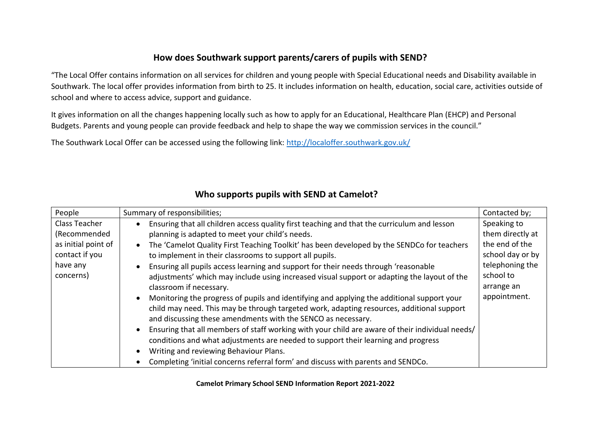#### **How does Southwark support parents/carers of pupils with SEND?**

"The Local Offer contains information on all services for children and young people with Special Educational needs and Disability available in Southwark. The local offer provides information from birth to 25. It includes information on health, education, social care, activities outside of school and where to access advice, support and guidance.

It gives information on all the changes happening locally such as how to apply for an Educational, Healthcare Plan (EHCP) and Personal Budgets. Parents and young people can provide feedback and help to shape the way we commission services in the council."

The Southwark Local Offer can be accessed using the following link:<http://localoffer.southwark.gov.uk/>

| People              | Summary of responsibilities;                                                                    | Contacted by;    |
|---------------------|-------------------------------------------------------------------------------------------------|------------------|
| Class Teacher       | Ensuring that all children access quality first teaching and that the curriculum and lesson     | Speaking to      |
| (Recommended        | planning is adapted to meet your child's needs.                                                 | them directly at |
| as initial point of | The 'Camelot Quality First Teaching Toolkit' has been developed by the SENDCo for teachers      | the end of the   |
| contact if you      | to implement in their classrooms to support all pupils.                                         | school day or by |
| have any            | Ensuring all pupils access learning and support for their needs through 'reasonable             | telephoning the  |
| concerns)           | adjustments' which may include using increased visual support or adapting the layout of the     | school to        |
|                     | classroom if necessary.                                                                         | arrange an       |
|                     | Monitoring the progress of pupils and identifying and applying the additional support your      | appointment.     |
|                     | child may need. This may be through targeted work, adapting resources, additional support       |                  |
|                     | and discussing these amendments with the SENCO as necessary.                                    |                  |
|                     | Ensuring that all members of staff working with your child are aware of their individual needs/ |                  |
|                     | conditions and what adjustments are needed to support their learning and progress               |                  |
|                     | Writing and reviewing Behaviour Plans.                                                          |                  |
|                     | Completing 'initial concerns referral form' and discuss with parents and SENDCo.                |                  |

#### **Who supports pupils with SEND at Camelot?**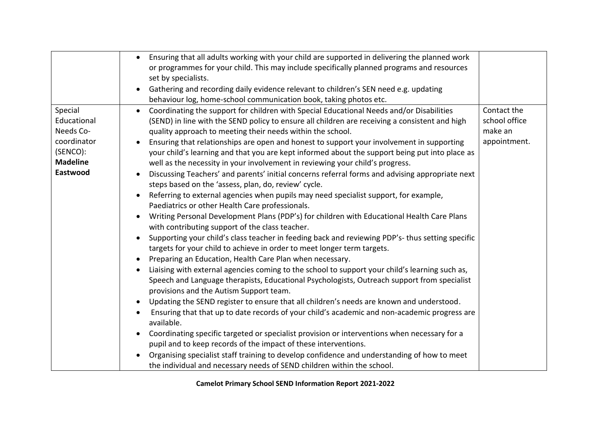|                 | Ensuring that all adults working with your child are supported in delivering the planned work<br>$\bullet$<br>or programmes for your child. This may include specifically planned programs and resources |               |
|-----------------|----------------------------------------------------------------------------------------------------------------------------------------------------------------------------------------------------------|---------------|
|                 | set by specialists.                                                                                                                                                                                      |               |
|                 | Gathering and recording daily evidence relevant to children's SEN need e.g. updating                                                                                                                     |               |
|                 | behaviour log, home-school communication book, taking photos etc.                                                                                                                                        |               |
| Special         | Coordinating the support for children with Special Educational Needs and/or Disabilities<br>$\bullet$                                                                                                    | Contact the   |
| Educational     | (SEND) in line with the SEND policy to ensure all children are receiving a consistent and high                                                                                                           | school office |
| Needs Co-       | quality approach to meeting their needs within the school.                                                                                                                                               | make an       |
| coordinator     | Ensuring that relationships are open and honest to support your involvement in supporting                                                                                                                | appointment.  |
| (SENCO):        | your child's learning and that you are kept informed about the support being put into place as                                                                                                           |               |
| <b>Madeline</b> | well as the necessity in your involvement in reviewing your child's progress.                                                                                                                            |               |
| Eastwood        | Discussing Teachers' and parents' initial concerns referral forms and advising appropriate next                                                                                                          |               |
|                 | steps based on the 'assess, plan, do, review' cycle.                                                                                                                                                     |               |
|                 | Referring to external agencies when pupils may need specialist support, for example,<br>$\bullet$                                                                                                        |               |
|                 | Paediatrics or other Health Care professionals.                                                                                                                                                          |               |
|                 | Writing Personal Development Plans (PDP's) for children with Educational Health Care Plans                                                                                                               |               |
|                 | with contributing support of the class teacher.                                                                                                                                                          |               |
|                 | Supporting your child's class teacher in feeding back and reviewing PDP's-thus setting specific<br>$\bullet$<br>targets for your child to achieve in order to meet longer term targets.                  |               |
|                 | Preparing an Education, Health Care Plan when necessary.<br>$\bullet$                                                                                                                                    |               |
|                 | Liaising with external agencies coming to the school to support your child's learning such as,                                                                                                           |               |
|                 | Speech and Language therapists, Educational Psychologists, Outreach support from specialist<br>provisions and the Autism Support team.                                                                   |               |
|                 | Updating the SEND register to ensure that all children's needs are known and understood.<br>$\bullet$                                                                                                    |               |
|                 |                                                                                                                                                                                                          |               |
|                 | Ensuring that that up to date records of your child's academic and non-academic progress are<br>available.                                                                                               |               |
|                 | Coordinating specific targeted or specialist provision or interventions when necessary for a                                                                                                             |               |
|                 | pupil and to keep records of the impact of these interventions.                                                                                                                                          |               |
|                 | Organising specialist staff training to develop confidence and understanding of how to meet                                                                                                              |               |
|                 | the individual and necessary needs of SEND children within the school.                                                                                                                                   |               |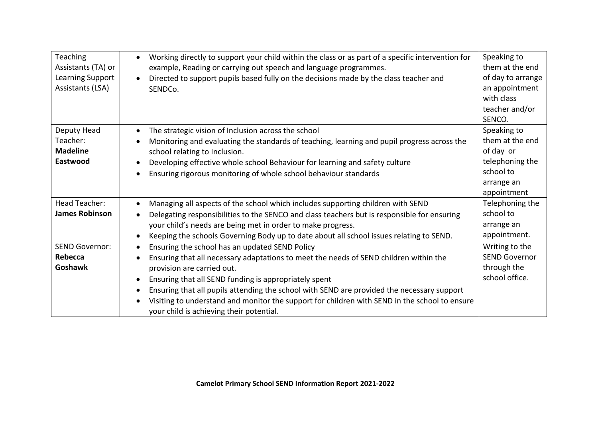| <b>Teaching</b><br>Assistants (TA) or<br>Learning Support<br>Assistants (LSA) | Working directly to support your child within the class or as part of a specific intervention for<br>example, Reading or carrying out speech and language programmes.<br>Directed to support pupils based fully on the decisions made by the class teacher and<br>SENDCo. | Speaking to<br>them at the end<br>of day to arrange<br>an appointment<br>with class<br>teacher and/or<br>SENCO. |
|-------------------------------------------------------------------------------|---------------------------------------------------------------------------------------------------------------------------------------------------------------------------------------------------------------------------------------------------------------------------|-----------------------------------------------------------------------------------------------------------------|
| Deputy Head                                                                   | The strategic vision of Inclusion across the school<br>$\bullet$                                                                                                                                                                                                          | Speaking to                                                                                                     |
| Teacher:<br><b>Madeline</b>                                                   | Monitoring and evaluating the standards of teaching, learning and pupil progress across the                                                                                                                                                                               | them at the end<br>of day or                                                                                    |
| Eastwood                                                                      | school relating to Inclusion.<br>Developing effective whole school Behaviour for learning and safety culture                                                                                                                                                              | telephoning the                                                                                                 |
|                                                                               | Ensuring rigorous monitoring of whole school behaviour standards<br>$\bullet$                                                                                                                                                                                             | school to                                                                                                       |
|                                                                               |                                                                                                                                                                                                                                                                           | arrange an                                                                                                      |
|                                                                               |                                                                                                                                                                                                                                                                           | appointment                                                                                                     |
| Head Teacher:                                                                 | Managing all aspects of the school which includes supporting children with SEND                                                                                                                                                                                           | Telephoning the                                                                                                 |
| <b>James Robinson</b>                                                         | Delegating responsibilities to the SENCO and class teachers but is responsible for ensuring                                                                                                                                                                               | school to                                                                                                       |
|                                                                               | your child's needs are being met in order to make progress.                                                                                                                                                                                                               | arrange an                                                                                                      |
|                                                                               | Keeping the schools Governing Body up to date about all school issues relating to SEND.                                                                                                                                                                                   | appointment.                                                                                                    |
| <b>SEND Governor:</b>                                                         | Ensuring the school has an updated SEND Policy<br>$\bullet$                                                                                                                                                                                                               | Writing to the                                                                                                  |
| <b>Rebecca</b>                                                                | Ensuring that all necessary adaptations to meet the needs of SEND children within the                                                                                                                                                                                     | <b>SEND Governor</b>                                                                                            |
| <b>Goshawk</b>                                                                | provision are carried out.                                                                                                                                                                                                                                                | through the                                                                                                     |
|                                                                               | Ensuring that all SEND funding is appropriately spent<br>$\bullet$                                                                                                                                                                                                        | school office.                                                                                                  |
|                                                                               | Ensuring that all pupils attending the school with SEND are provided the necessary support<br>$\bullet$                                                                                                                                                                   |                                                                                                                 |
|                                                                               | Visiting to understand and monitor the support for children with SEND in the school to ensure<br>$\bullet$                                                                                                                                                                |                                                                                                                 |
|                                                                               | your child is achieving their potential.                                                                                                                                                                                                                                  |                                                                                                                 |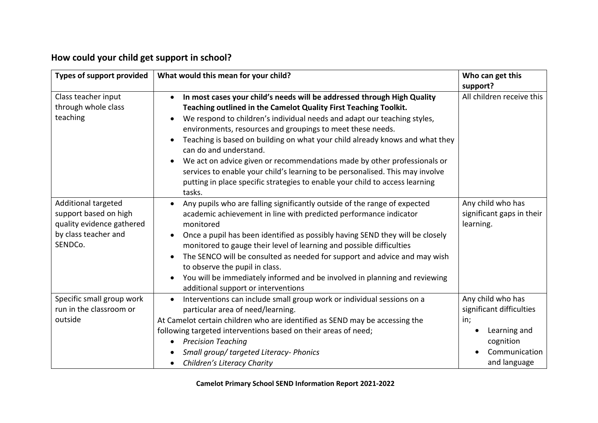# **How could your child get support in school?**

| Types of support provided                                                                                    | What would this mean for your child?                                                                                                                                                                                                                                                                                                                                                                                                                                                                                                                                                                                                                                             | Who can get this<br>support?                                                                                       |
|--------------------------------------------------------------------------------------------------------------|----------------------------------------------------------------------------------------------------------------------------------------------------------------------------------------------------------------------------------------------------------------------------------------------------------------------------------------------------------------------------------------------------------------------------------------------------------------------------------------------------------------------------------------------------------------------------------------------------------------------------------------------------------------------------------|--------------------------------------------------------------------------------------------------------------------|
| Class teacher input<br>through whole class<br>teaching                                                       | In most cases your child's needs will be addressed through High Quality<br>$\bullet$<br>Teaching outlined in the Camelot Quality First Teaching Toolkit.<br>We respond to children's individual needs and adapt our teaching styles,<br>environments, resources and groupings to meet these needs.<br>Teaching is based on building on what your child already knows and what they<br>$\bullet$<br>can do and understand.<br>We act on advice given or recommendations made by other professionals or<br>services to enable your child's learning to be personalised. This may involve<br>putting in place specific strategies to enable your child to access learning<br>tasks. | All children receive this                                                                                          |
| Additional targeted<br>support based on high<br>quality evidence gathered<br>by class teacher and<br>SENDCo. | Any pupils who are falling significantly outside of the range of expected<br>$\bullet$<br>academic achievement in line with predicted performance indicator<br>monitored<br>Once a pupil has been identified as possibly having SEND they will be closely<br>monitored to gauge their level of learning and possible difficulties<br>The SENCO will be consulted as needed for support and advice and may wish<br>to observe the pupil in class.<br>You will be immediately informed and be involved in planning and reviewing<br>additional support or interventions                                                                                                            | Any child who has<br>significant gaps in their<br>learning.                                                        |
| Specific small group work<br>run in the classroom or<br>outside                                              | Interventions can include small group work or individual sessions on a<br>$\bullet$<br>particular area of need/learning.<br>At Camelot certain children who are identified as SEND may be accessing the<br>following targeted interventions based on their areas of need;<br><b>Precision Teaching</b><br>Small group/ targeted Literacy- Phonics<br>Children's Literacy Charity                                                                                                                                                                                                                                                                                                 | Any child who has<br>significant difficulties<br>in;<br>Learning and<br>cognition<br>Communication<br>and language |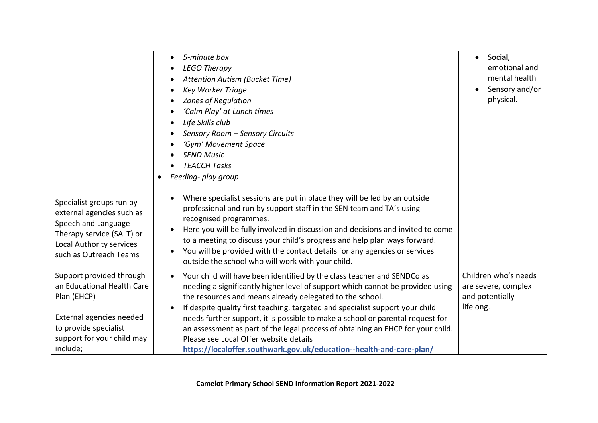|                                                                                                                                                                      | 5-minute box<br><b>LEGO Therapy</b><br>Attention Autism (Bucket Time)<br><b>Key Worker Triage</b><br><b>Zones of Regulation</b><br>'Calm Play' at Lunch times<br>Life Skills club<br>Sensory Room - Sensory Circuits<br>'Gym' Movement Space<br><b>SEND Music</b><br><b>TEACCH Tasks</b><br>Feeding- play group                                                                                                                                                                                                                                                                                            | Social,<br>$\bullet$<br>emotional and<br>mental health<br>Sensory and/or<br>physical. |
|----------------------------------------------------------------------------------------------------------------------------------------------------------------------|------------------------------------------------------------------------------------------------------------------------------------------------------------------------------------------------------------------------------------------------------------------------------------------------------------------------------------------------------------------------------------------------------------------------------------------------------------------------------------------------------------------------------------------------------------------------------------------------------------|---------------------------------------------------------------------------------------|
| Specialist groups run by<br>external agencies such as<br>Speech and Language<br>Therapy service (SALT) or<br>Local Authority services<br>such as Outreach Teams      | Where specialist sessions are put in place they will be led by an outside<br>professional and run by support staff in the SEN team and TA's using<br>recognised programmes.<br>Here you will be fully involved in discussion and decisions and invited to come<br>to a meeting to discuss your child's progress and help plan ways forward.<br>You will be provided with the contact details for any agencies or services<br>outside the school who will work with your child.                                                                                                                             |                                                                                       |
| Support provided through<br>an Educational Health Care<br>Plan (EHCP)<br>External agencies needed<br>to provide specialist<br>support for your child may<br>include; | Your child will have been identified by the class teacher and SENDCo as<br>$\bullet$<br>needing a significantly higher level of support which cannot be provided using<br>the resources and means already delegated to the school.<br>If despite quality first teaching, targeted and specialist support your child<br>needs further support, it is possible to make a school or parental request for<br>an assessment as part of the legal process of obtaining an EHCP for your child.<br>Please see Local Offer website details<br>https://localoffer.southwark.gov.uk/education--health-and-care-plan/ | Children who's needs<br>are severe, complex<br>and potentially<br>lifelong.           |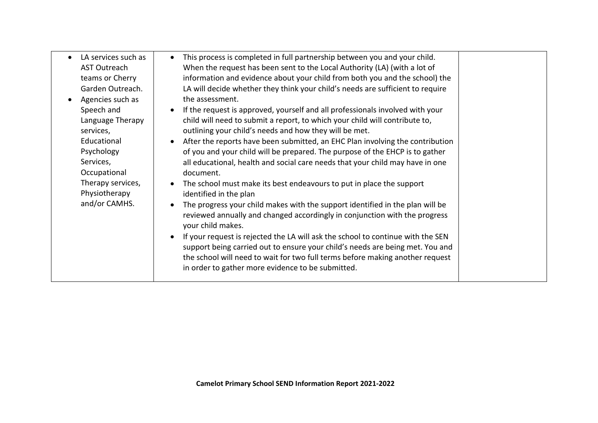| LA services such as<br>$\bullet$<br><b>AST Outreach</b><br>teams or Cherry                                                                                                                           | This process is completed in full partnership between you and your child.<br>When the request has been sent to the Local Authority (LA) (with a lot of<br>information and evidence about your child from both you and the school) the                                                                                                                                                                                                                                                                                                                                                                                                                                                                                                                                                                                                                                                                                                                                                                                                                                                                                                                                                      |  |
|------------------------------------------------------------------------------------------------------------------------------------------------------------------------------------------------------|--------------------------------------------------------------------------------------------------------------------------------------------------------------------------------------------------------------------------------------------------------------------------------------------------------------------------------------------------------------------------------------------------------------------------------------------------------------------------------------------------------------------------------------------------------------------------------------------------------------------------------------------------------------------------------------------------------------------------------------------------------------------------------------------------------------------------------------------------------------------------------------------------------------------------------------------------------------------------------------------------------------------------------------------------------------------------------------------------------------------------------------------------------------------------------------------|--|
| Garden Outreach.<br>Agencies such as<br>Speech and<br>Language Therapy<br>services,<br>Educational<br>Psychology<br>Services,<br>Occupational<br>Therapy services,<br>Physiotherapy<br>and/or CAMHS. | LA will decide whether they think your child's needs are sufficient to require<br>the assessment.<br>If the request is approved, yourself and all professionals involved with your<br>child will need to submit a report, to which your child will contribute to,<br>outlining your child's needs and how they will be met.<br>After the reports have been submitted, an EHC Plan involving the contribution<br>of you and your child will be prepared. The purpose of the EHCP is to gather<br>all educational, health and social care needs that your child may have in one<br>document.<br>The school must make its best endeavours to put in place the support<br>identified in the plan<br>The progress your child makes with the support identified in the plan will be<br>reviewed annually and changed accordingly in conjunction with the progress<br>your child makes.<br>If your request is rejected the LA will ask the school to continue with the SEN<br>support being carried out to ensure your child's needs are being met. You and<br>the school will need to wait for two full terms before making another request<br>in order to gather more evidence to be submitted. |  |
|                                                                                                                                                                                                      |                                                                                                                                                                                                                                                                                                                                                                                                                                                                                                                                                                                                                                                                                                                                                                                                                                                                                                                                                                                                                                                                                                                                                                                            |  |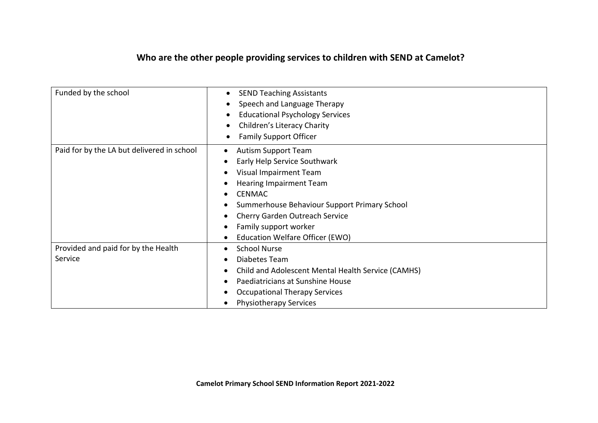## **Who are the other people providing services to children with SEND at Camelot?**

| Funded by the school                           | <b>SEND Teaching Assistants</b><br>$\bullet$<br>Speech and Language Therapy<br><b>Educational Psychology Services</b><br>Children's Literacy Charity<br><b>Family Support Officer</b>                                                                                                                                |
|------------------------------------------------|----------------------------------------------------------------------------------------------------------------------------------------------------------------------------------------------------------------------------------------------------------------------------------------------------------------------|
| Paid for by the LA but delivered in school     | <b>Autism Support Team</b><br>Early Help Service Southwark<br>Visual Impairment Team<br><b>Hearing Impairment Team</b><br><b>CENMAC</b><br>$\bullet$<br>Summerhouse Behaviour Support Primary School<br>Cherry Garden Outreach Service<br>Family support worker<br>٠<br>Education Welfare Officer (EWO)<br>$\bullet$ |
| Provided and paid for by the Health<br>Service | <b>School Nurse</b><br>$\bullet$<br>Diabetes Team<br>٠<br>Child and Adolescent Mental Health Service (CAMHS)<br>Paediatricians at Sunshine House<br><b>Occupational Therapy Services</b><br>٠<br><b>Physiotherapy Services</b><br>$\bullet$                                                                          |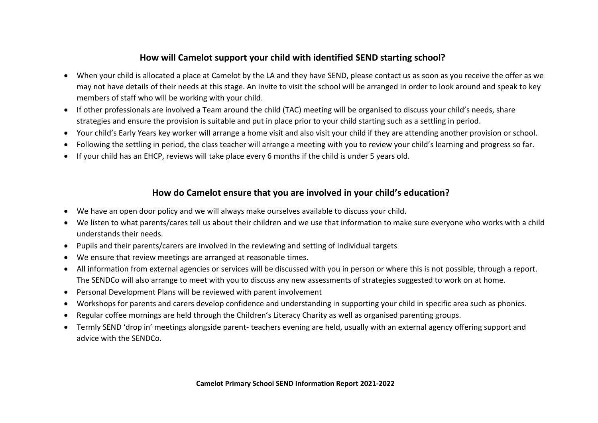#### **How will Camelot support your child with identified SEND starting school?**

- When your child is allocated a place at Camelot by the LA and they have SEND, please contact us as soon as you receive the offer as we may not have details of their needs at this stage. An invite to visit the school will be arranged in order to look around and speak to key members of staff who will be working with your child.
- If other professionals are involved a Team around the child (TAC) meeting will be organised to discuss your child's needs, share strategies and ensure the provision is suitable and put in place prior to your child starting such as a settling in period.
- Your child's Early Years key worker will arrange a home visit and also visit your child if they are attending another provision or school.
- Following the settling in period, the class teacher will arrange a meeting with you to review your child's learning and progress so far.
- If your child has an EHCP, reviews will take place every 6 months if the child is under 5 years old.

#### **How do Camelot ensure that you are involved in your child's education?**

- We have an open door policy and we will always make ourselves available to discuss your child.
- We listen to what parents/cares tell us about their children and we use that information to make sure everyone who works with a child understands their needs.
- Pupils and their parents/carers are involved in the reviewing and setting of individual targets
- We ensure that review meetings are arranged at reasonable times.
- All information from external agencies or services will be discussed with you in person or where this is not possible, through a report. The SENDCo will also arrange to meet with you to discuss any new assessments of strategies suggested to work on at home.
- Personal Development Plans will be reviewed with parent involvement
- Workshops for parents and carers develop confidence and understanding in supporting your child in specific area such as phonics.
- Regular coffee mornings are held through the Children's Literacy Charity as well as organised parenting groups.
- Termly SEND 'drop in' meetings alongside parent- teachers evening are held, usually with an external agency offering support and advice with the SENDCo.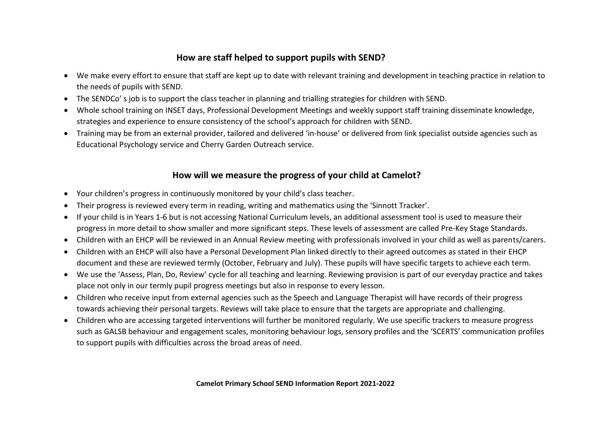#### **How are staff helped to support pupils with SEND?**

- We make every effort to ensure that staff are kept up to date with relevant training and development in teaching practice in relation to the needs of pupils with SEND.
- The SENDCo' s job is to support the class teacher in planning and trialling strategies for children with SEND.
- Whole school training on INSET days, Professional Development Meetings and weekly support staff training disseminate knowledge, strategies and experience to ensure consistency of the school's approach for children with SEND.
- Training may be from an external provider, tailored and delivered 'in-house' or delivered from link specialist outside agencies such as Educational Psychology service and Cherry Garden Outreach service.

#### **How will we measure the progress of your child at Camelot?**

- Your children's progress in continuously monitored by your child's class teacher.
- Their progress is reviewed every term in reading, writing and mathematics using the 'Sinnott Tracker'.
- If your child is in Years 1-6 but is not accessing National Curriculum levels, an additional assessment tool is used to measure their progress in more detail to show smaller and more significant steps. These levels of assessment are called Pre-Key Stage Standards.
- Children with an EHCP will be reviewed in an Annual Review meeting with professionals involved in your child as well as parents/carers.
- Children with an EHCP will also have a Personal Development Plan linked directly to their agreed outcomes as stated in their EHCP document and these are reviewed termly (October, February and July). These pupils will have specific targets to achieve each term.
- We use the 'Assess, Plan, Do, Review' cycle for all teaching and learning. Reviewing provision is part of our everyday practice and takes place not only in our termly pupil progress meetings but also in response to every lesson.
- Children who receive input from external agencies such as the Speech and Language Therapist will have records of their progress towards achieving their personal targets. Reviews will take place to ensure that the targets are appropriate and challenging.
- Children who are accessing targeted interventions will further be monitored regularly. We use specific trackers to measure progress such as GALSB behaviour and engagement scales, monitoring behaviour logs, sensory profiles and the 'SCERTS' communication profiles to support pupils with difficulties across the broad areas of need.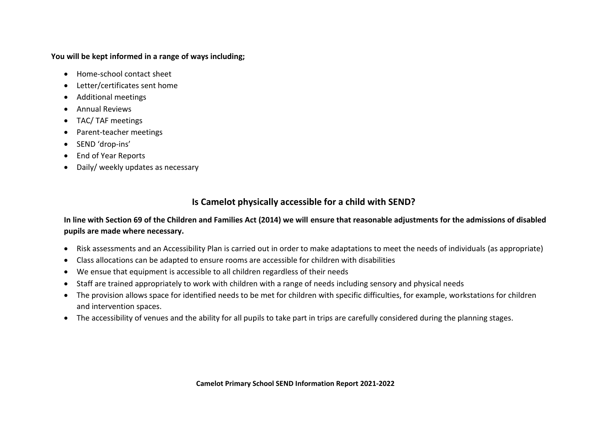#### **You will be kept informed in a range of ways including;**

- Home-school contact sheet
- Letter/certificates sent home
- Additional meetings
- Annual Reviews
- TAC/ TAF meetings
- Parent-teacher meetings
- SEND 'drop-ins'
- End of Year Reports
- Daily/ weekly updates as necessary

### **Is Camelot physically accessible for a child with SEND?**

#### **In line with Section 69 of the Children and Families Act (2014) we will ensure that reasonable adjustments for the admissions of disabled pupils are made where necessary.**

- Risk assessments and an Accessibility Plan is carried out in order to make adaptations to meet the needs of individuals (as appropriate)
- Class allocations can be adapted to ensure rooms are accessible for children with disabilities
- We ensue that equipment is accessible to all children regardless of their needs
- Staff are trained appropriately to work with children with a range of needs including sensory and physical needs
- The provision allows space for identified needs to be met for children with specific difficulties, for example, workstations for children and intervention spaces.
- The accessibility of venues and the ability for all pupils to take part in trips are carefully considered during the planning stages.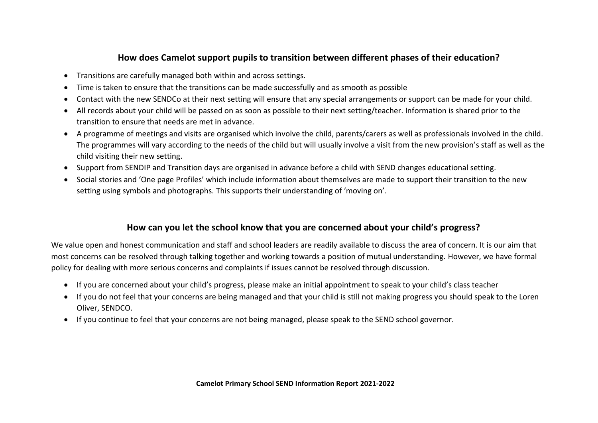#### **How does Camelot support pupils to transition between different phases of their education?**

- Transitions are carefully managed both within and across settings.
- Time is taken to ensure that the transitions can be made successfully and as smooth as possible
- Contact with the new SENDCo at their next setting will ensure that any special arrangements or support can be made for your child.
- All records about your child will be passed on as soon as possible to their next setting/teacher. Information is shared prior to the transition to ensure that needs are met in advance.
- A programme of meetings and visits are organised which involve the child, parents/carers as well as professionals involved in the child. The programmes will vary according to the needs of the child but will usually involve a visit from the new provision's staff as well as the child visiting their new setting.
- Support from SENDIP and Transition days are organised in advance before a child with SEND changes educational setting.
- Social stories and 'One page Profiles' which include information about themselves are made to support their transition to the new setting using symbols and photographs. This supports their understanding of 'moving on'.

#### **How can you let the school know that you are concerned about your child's progress?**

We value open and honest communication and staff and school leaders are readily available to discuss the area of concern. It is our aim that most concerns can be resolved through talking together and working towards a position of mutual understanding. However, we have formal policy for dealing with more serious concerns and complaints if issues cannot be resolved through discussion.

- If you are concerned about your child's progress, please make an initial appointment to speak to your child's class teacher
- If you do not feel that your concerns are being managed and that your child is still not making progress you should speak to the Loren Oliver, SENDCO.
- If you continue to feel that your concerns are not being managed, please speak to the SEND school governor.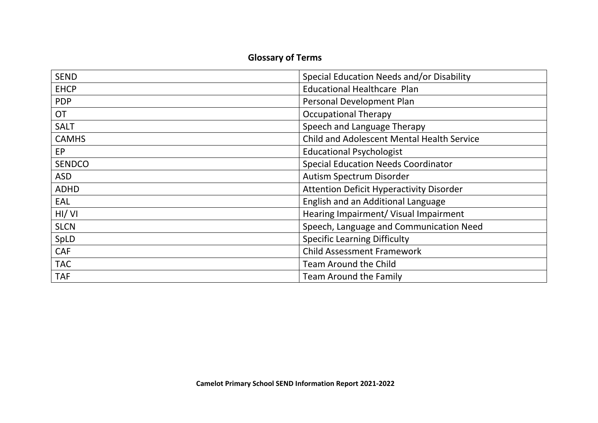## **Glossary of Terms**

| <b>SEND</b>   | Special Education Needs and/or Disability       |
|---------------|-------------------------------------------------|
| <b>EHCP</b>   | <b>Educational Healthcare Plan</b>              |
| <b>PDP</b>    | Personal Development Plan                       |
| <b>OT</b>     | <b>Occupational Therapy</b>                     |
| <b>SALT</b>   | Speech and Language Therapy                     |
| <b>CAMHS</b>  | Child and Adolescent Mental Health Service      |
| <b>EP</b>     | <b>Educational Psychologist</b>                 |
| <b>SENDCO</b> | <b>Special Education Needs Coordinator</b>      |
| <b>ASD</b>    | Autism Spectrum Disorder                        |
| <b>ADHD</b>   | <b>Attention Deficit Hyperactivity Disorder</b> |
| EAL           | English and an Additional Language              |
| HI/VI         | Hearing Impairment/ Visual Impairment           |
| <b>SLCN</b>   | Speech, Language and Communication Need         |
| SpLD          | <b>Specific Learning Difficulty</b>             |
| <b>CAF</b>    | <b>Child Assessment Framework</b>               |
| <b>TAC</b>    | <b>Team Around the Child</b>                    |
| <b>TAF</b>    | <b>Team Around the Family</b>                   |